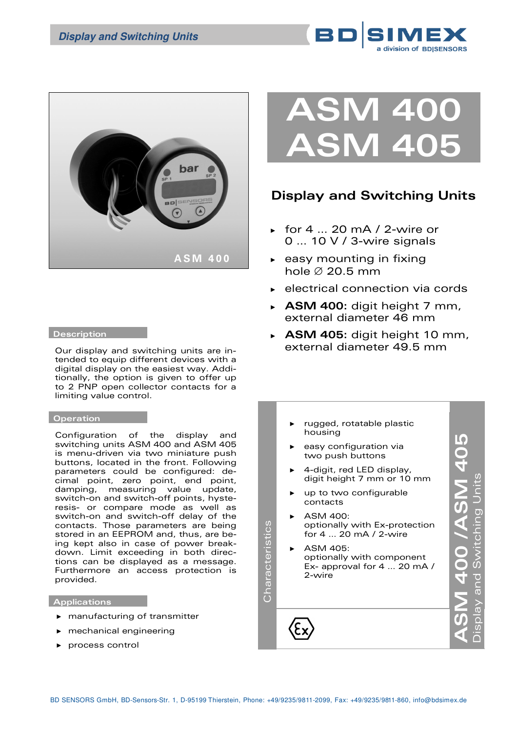



### **Description**

Our display and switching units are intended to equip different devices with a digital display on the easiest way. Additionally, the option is given to offer up to 2 PNP open collector contacts for a limiting value control.

### **Operation**

Configuration of the display and switching units ASM 400 and ASM 405 is menu-driven via two miniature push buttons, located in the front. Following parameters could be configured: decimal point, zero point, end point, damping, measuring value update, switch-on and switch-off points, hysteresis- or compare mode as well as switch-on and switch-off delay of the contacts. Those parameters are being stored in an EEPROM and, thus, are being kept also in case of power breakdown. Limit exceeding in both directions can be displayed as a message. Furthermore an access protection is provided.

## **Applications**

- ► manufacturing of transmitter
- ► mechanical engineering
- ► process control



# **Display and Switching Units**

- ► for 4 … 20 mA / 2-wire or 0 … 10 V / 3-wire signals
- ► easy mounting in fixing hole ∅ 20.5 mm
- ► electrical connection via cords
- ► **ASM 400:** digit height 7 mm, external diameter 46 mm
- ► **ASM 405:** digit height 10 mm, external diameter 49.5 mm
- rugged, rotatable plastic **ASM 400 /ASM 405**  housing  $\lambda$ SM 400 /ASM 405 easy configuration via two push buttons ► 4-digit, red LED display, Display and Switching Units digit height 7 mm or 10 mm up to two configurable contacts  $ASMA$  400: Characteristics Characteristics optionally with Ex-protection for 4 … 20 mA / 2-wire ► ASM 405: optionally with component Ex- approval for 4 … 20 mA / 2-wire